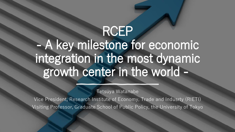# **RCEP** - A key milestone for economic integration in the most dynamic growth center in the world -

Tetsuya Watanabe

Vice President, Research Institute of Economy, Trade and Indusrty (RIETI) Visiting Professor, Graduate School of Public Policy, the University of Tokyo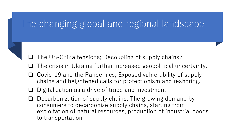## The changing global and regional landscape

The US-China tensions; Decoupling of supply chains?

- The crisis in Ukraine further increased geopolitical uncertainty.
- ❑ Covid-19 and the Pandemics; Exposed vulnerability of supply chains and heightened calls for protectionism and reshoring.
- Digitalization as a drive of trade and investment.
- Decarbonization of supply chains; The growing demand by consumers to decarbonize supply chains, starting from exploitation of natural resources, production of industrial goods to transportation.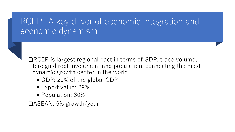#### RCEP- A key driver of economic integration and economic dynamism

❑RCEP is largest regional pact in terms of GDP, trade volume, foreign direct investment and population, connecting the most dynamic growth center in the world.

- GDP: 29% of the global GDP
- Export value: 29%
- Population: 30%

❑ASEAN: 6% growth/year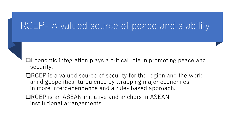## RCEP- A valued source of peace and stability

❑Economic integration plays a critical role in promoting peace and security.

- ❑RCEP is a valued source of security for the region and the world amid geopolitical turbulence by wrapping major economies in more interdependence and a rule- based approach.
- ❑RCEP is an ASEAN initiative and anchors in ASEAN institutional arrangements.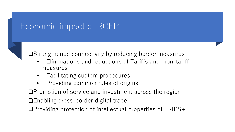#### Economic impact of RCEP



❑Strengthened connectivity by reducing border measures

- Eliminations and reductions of Tariffs and non-tariff measures
- Facilitating custom procedures
- Providing common rules of origins

❑Promotion of service and investment across the region

❑Enabling cross-border digital trade

❑Providing protection of intellectual properties of TRIPS+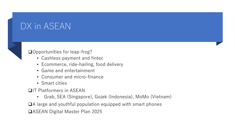#### DX in ASEAN



#### ❑Opportunities for leap-frog?

- Cashless payment and fintec
- Ecommerce, ride-hailing, food delivery
- Game and entertainment
- Consumer and micro-finance
- Smart cities

❑IT Platformers in ASEAN

• Grab, SEA (Singapore), Gojek (Indonesia), MoMo (Vietnam)

❑A large and youthful population equipped with smart phones

❑ASEAN Digital Master Plan 2025